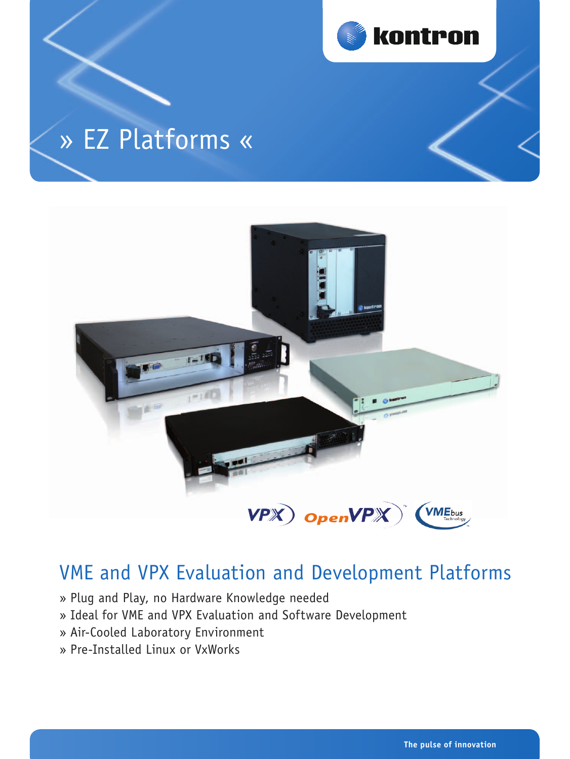

# » EZ Platforms «



## VME and VPX Evaluation and Development Platforms

- » Plug and Play, no Hardware Knowledge needed
- » Ideal for VME and VPX Evaluation and Software Development
- » Air-Cooled Laboratory Environment
- » Pre-Installed Linux or VxWorks